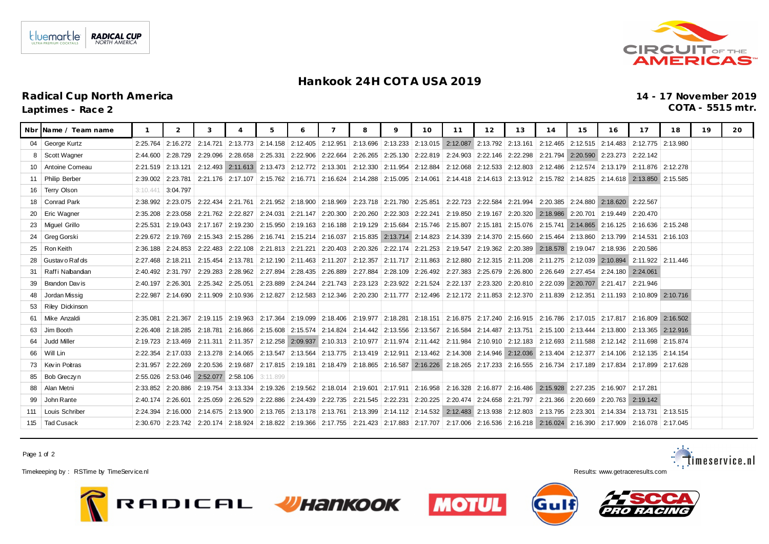## **Hankook 24H COT A USA 2019**

Nbr Name / Team name | 1 | 2 | 3 | 4 | 5 | 6 | 7 | 8 | 9 | 10 | 11 | 12 | 13 | 14 | 15 | 16 | 17 | 18 | 19 | 20

04 | George Kurtz | 2:25.764 | 2:16.272 | 2:14.721 | 2:13.773 | 2:14.158 | 2:12.405 | 2:12.951 | 2:13.696 | 2:13.33 | 2:13.015 | 2:13.101 | 2:13.161 | 2:12.465 | 2:12.515 | 2:14.483 | 2:12.775 | 2:13.980 8 | Scott Wagner | 2:44.600 | 2:28.729 | 2:28.729 | 2:29.096 | 2:28.658 | 2:25.331 | 2:22.906 | 2:22.664 | 2:26.265 | 2:25.130 | 2:22.819 | 2:22.490 | 2:22.146 | 2:22.298 | 2:21.794 | 2:20.590 | 2:2 10 Antoine Comeau 2:21.519 2:13.121 2:12.493 2:11.613 2:13.473 2:12.772 2:13.301 2:12.330 2:11.954 2:12.884 2:12.688 2:12.533 2:12.803 2:12.803 2:12.574 2:13.179 2:11.876 2:12.278

## **Radical Cup North America 14 - 17 November 2019**

**Laptimes - Race 2 COTA - 5515 mtr.**

| 11   | <b>Philip Berber</b> |                   | 2:39.002 2:23.781     |                                           |                     |                                                      |                                |  | 2:21.176 2:17.107 2:15.762 2:16.771 2:16.624 2:14.288 2:15.095 2:14.061 2:14.418 2:14.613 2:13.912 2:15.782 2:14.825 2:14.618 2:13.850 2:15.585                            |  |  |                                           |                                           |          |
|------|----------------------|-------------------|-----------------------|-------------------------------------------|---------------------|------------------------------------------------------|--------------------------------|--|----------------------------------------------------------------------------------------------------------------------------------------------------------------------------|--|--|-------------------------------------------|-------------------------------------------|----------|
|      | 16   Terry Olson     | 3:10.441          | 3:04.797              |                                           |                     |                                                      |                                |  |                                                                                                                                                                            |  |  |                                           |                                           |          |
|      | 18   Conrad Park     |                   |                       | 2:38.992   2:23.075   2:22.434   2:21.761 |                     |                                                      |                                |  | 2:21.952   2:18.900   2:18.969   2:23.718   2:21.780   2:25.851   2:22.723   2:22.584   2:21.994                                                                           |  |  | 2:20.385   2:24.880   2:18.620            | 2:22.567                                  |          |
|      | 20   Eric Wagner     |                   | 2:35.208 2:23.058     | 2:21.762 2:22.827                         |                     | 2:24.031                                             | 2:21.147   2:20.300            |  | 2:20.260   2:22.303   2:22.241   2:19.850   2:19.167   2:20.320   2:18.986   2:20.701   2:19.449                                                                           |  |  |                                           | 2:20.470                                  |          |
|      | 23   Miquel Grillo   | 2:25.531          | 12:19.043             | 2:17.167 2:19.230                         |                     |                                                      |                                |  | 2:15.950   2:19.163   2:16.188   2:19.129   2:15.684   2:15.746   2:15.807   2:15.181   2:15.076                                                                           |  |  |                                           | 2:15.741   2:14.865   2:16.125   2:16.636 | 2:15.248 |
|      | 24 Greg Gorski       |                   | 2:29.672   2:19.769   |                                           | 2:15.343   2:15.286 |                                                      | 2:16.741   2:15.214   2:16.037 |  | 2:15.835 2:13.714 2:14.823 2:14.339 2:14.370 2:15.660 2:15.464 2:13.860 2:13.799 2:14.531                                                                                  |  |  |                                           |                                           | 2:16.103 |
|      | 25   Ron Keith       | 2:36.188          | 2:24.853              |                                           | 2:22.483 2:22.108   | 2:21.813   2:21.221   2:20.403                       |                                |  | 2:20.326 2:22.174 2:21.253 2:19.547 2:19.362 2:20.389 2:18.578 2:19.047 2:18.936                                                                                           |  |  |                                           | 2:20.586                                  |          |
|      | 28 Gustav o Raf ds   | 2:27.468 2:18.211 |                       | 2:15.454 2:13.781                         |                     |                                                      | 2:12.190   2:11.463   2:11.207 |  | 2:12.357   2:11.717   2:11.863   2:12.880   2:12.315   2:11.208                                                                                                            |  |  | 2:11.275 2:12.039 2:10.894                | 2:11.922 2:11.446                         |          |
| 31   | l Raffi Nabandan     | 2:40.492          | 2:31.797              | 2:29.283                                  | 2:28.962            | 2:27.894                                             | 2:28.435 2:26.889              |  | 2:27.884 2:28.109 2:26.492 2:27.383 2:25.679 2:26.800                                                                                                                      |  |  | 2:26.649   2:27.454   2:24.180   2:24.061 |                                           |          |
|      | 39   Brandon Davis   | 2:40.197          | 2:26.301              | 2:25.342 2:25.051                         |                     | 2:23.889                                             | 2:24.244   2:21.743            |  | 2:23.123   2:23.922   2:21.524   2:22.137   2:23.320   2:20.810                                                                                                            |  |  | 2:22.039 2:20.707 2:21.417                | 2:21.946                                  |          |
|      | 48 Jordan Missig     |                   | 2:22.987   2:14.690   |                                           |                     | 2:11.909 2:10.936 2:12.827                           |                                |  | 2:12.583 2:12.346 2:20.230 2:11.777 2:12.496 2:12.172 2:11.853 2:12.370 2:11.839 2:12.351 2:11.193 2:10.809 2:10.716                                                       |  |  |                                           |                                           |          |
|      | 53   Riley Dickinson |                   |                       |                                           |                     |                                                      |                                |  |                                                                                                                                                                            |  |  |                                           |                                           |          |
| 61   | l Mike Anzaldi       | 2:35.081          | 2:21.367              |                                           |                     | 2:19.115   2:19.963   2:17.364   2:19.099   2:18.406 |                                |  | 2:19.977 2:18.281 2:18.151 2:16.875 2:17.240 2:16.915 2:16.786 2:17.015 2:17.817                                                                                           |  |  |                                           | 2:16.809                                  | 2:16.502 |
| 63 I | Jim Booth            |                   | $2:26.408$   2:18.285 | 2:18.781                                  | 2:16.866            |                                                      | 2:15.608 2:15.574 2:14.824     |  | 2:14.442   2:13.556   2:13.567   2:16.584   2:14.487   2:13.751                                                                                                            |  |  | 2:15.100   2:13.444   2:13.800   2:13.365 |                                           | 2:12.916 |
|      | 64 Judd Miller       |                   |                       |                                           |                     |                                                      |                                |  | 2:19.723 2:13.469 2:11.311 2:11.357 2:12.258 2:09.937 2:10.313 2:10.977 2:11.974 2:11.442 2:11.984 2:10.910 2:12.183 2:12.693 2:11.588 2:12.142 2:11.698 2:11.698 2:15.874 |  |  |                                           |                                           |          |

66 Will Lin 2:22.354 2:17.033 2:13.278 2:14.065 2:13.547 2:13.564 2:13.775 2:13.419 2:12.911 2:13.462 2:14.308 2:14.946 2:12.036 2:13.404 2:12.377 2:14.106 2:12.135 2:14.154 73 | Kevin Poitras | 2:31.957 | 2:22.269 | 2:20.536 | 2:19.687 | 2:17.815 | 2:19.181 | 2:18.479 | 2:18.865 | 2:16.587 | 2:16.226 | 2:18.265 | 2:17.233 | 2:16.555 | 2:16.535 | 2:17.189 | 2:17.834 | 2:17.

88 | Alan Metni | 2:33.852 | 2:20.886 | 2:19.754 | 3:13.334 | 2:19.326 | 2:19.562 | 2:18.014 | 2:19.601 | 2:17.911 | 2:16.958 | 2:16.328 | 2:16.877 | 2:16.486 | 2:15.928 | 2:27.235 | 2:16.907 | 2: 99 John Rante 2:40.174 2:26.601 2:25.059 2:26.529 2:22.886 2:24.439 2:22.735 2:21.545 2:22.231 2:20.225 2:20.474 2:24.658 2:21.797 2:21.366 2:20.669 2:20.763 2:19.142 111 | Louis Schriber | 2:24.394 | 2:16.000 | 2:14.675 | 2:13.900 | 2:13.765 | 2:13.178 | 2:13.765 | 2:13.765 | 2:13.765 | 2:13.761 | 2:13.399 | 2:14.112 | 2:14.532 | 2:12.483 | 2:13.938 | 2:12.803 | 2:13.795 | 2:23.301 | 2 115 | Tad Cusack 2:30.670 | 2:23.742 | 2:20.174 | 2:18.924 | 2:18.822 | 2:19.366 | 2:17.755 | 2:21.423 | 2:17.707 | 2:17.707 | 2:17.006 | 2:16.536 | 2:16.221 | 2:16.024 | 2:16.390 | 2:17.909 | 2:16.078 | 2:17.005

Page 1 of 2

Timekeeping by: RSTime by TimeService.nl **Results:** com



85 | Bob Greczyn | 2:55.026 | 2:53.046 | 2:52.077 | 2:58.106 | 3:11.89







timeservice.nl